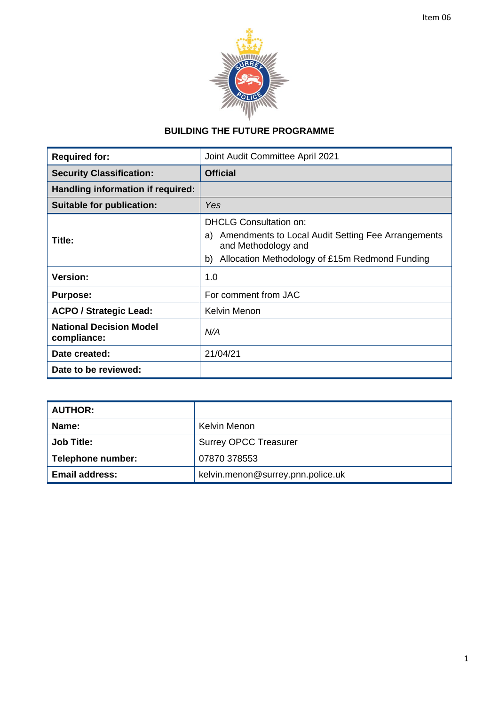# **BUILDING THE FUTURE PROGRAMME**

| <b>Required for:</b>                          | Joint Audit Committee April 2021                                                |  |
|-----------------------------------------------|---------------------------------------------------------------------------------|--|
| <b>Security Classification:</b>               | <b>Official</b>                                                                 |  |
| Handling information if required:             |                                                                                 |  |
| Suitable for publication:                     | Yes                                                                             |  |
| Title:                                        | <b>DHCLG Consultation on:</b>                                                   |  |
|                                               | Amendments to Local Audit Setting Fee Arrangements<br>a)<br>and Methodology and |  |
|                                               | Allocation Methodology of £15m Redmond Funding<br>b)                            |  |
| <b>Version:</b>                               | 1.0                                                                             |  |
| <b>Purpose:</b>                               | For comment from JAC                                                            |  |
| <b>ACPO / Strategic Lead:</b>                 | Kelvin Menon                                                                    |  |
| <b>National Decision Model</b><br>compliance: | N/A                                                                             |  |
| Date created:                                 | 21/04/21                                                                        |  |
| Date to be reviewed:                          |                                                                                 |  |

| <b>AUTHOR:</b>        |                                   |  |
|-----------------------|-----------------------------------|--|
| Name:                 | Kelvin Menon                      |  |
| <b>Job Title:</b>     | <b>Surrey OPCC Treasurer</b>      |  |
| Telephone number:     | 07870 378553                      |  |
| <b>Email address:</b> | kelvin.menon@surrey.pnn.police.uk |  |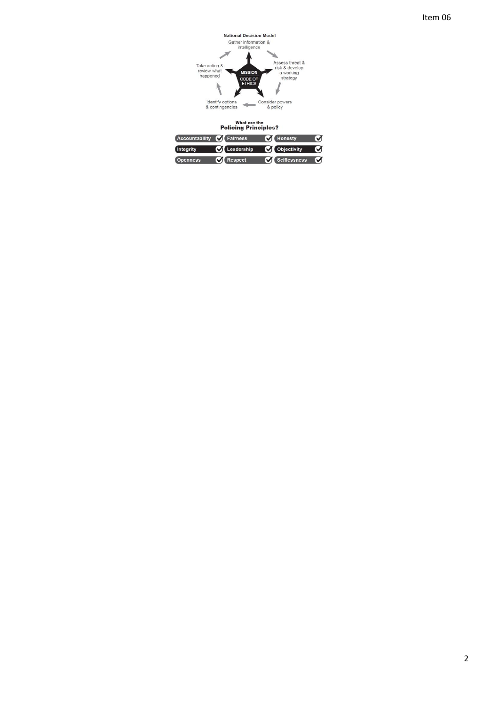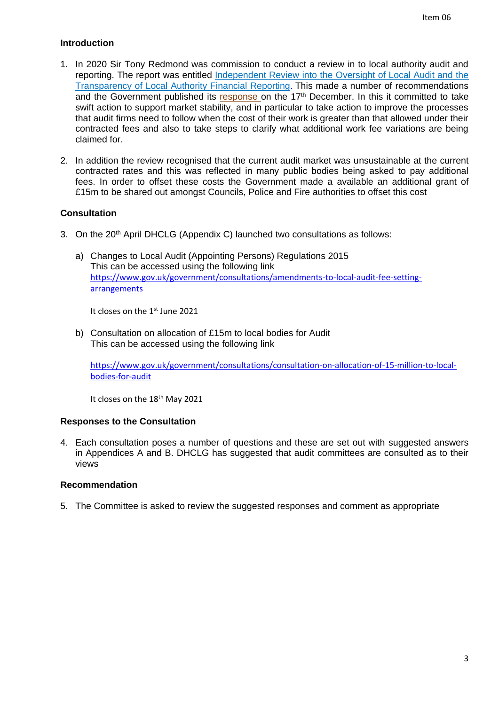## **Introduction**

- 1. In 2020 Sir Tony Redmond was commission to conduct a review in to local authority audit and reporting. The report was entitled Independent Review into the Oversight of Local Audit and the [Transparency of Local Authority Financial Reporting](https://assets.publishing.service.gov.uk/government/uploads/system/uploads/attachment_data/file/916217/Redmond_Review.pdf). This made a number of recommendations and the Government published its [response](https://www.gov.uk/government/publications/local-authority-financial-reporting-and-external-audit-government-response-to-the-redmond-review/local-authority-financial-reporting-and-external-audit-government-response-to-the-independent-review) on the 17<sup>th</sup> December. In this it committed to take swift action to support market stability, and in particular to take action to improve the processes that audit firms need to follow when the cost of their work is greater than that allowed under their contracted fees and also to take steps to clarify what additional work fee variations are being claimed for.
- 2. In addition the review recognised that the current audit market was unsustainable at the current contracted rates and this was reflected in many public bodies being asked to pay additional fees. In order to offset these costs the Government made a available an additional grant of £15m to be shared out amongst Councils, Police and Fire authorities to offset this cost

### **Consultation**

- 3. On the 20th April DHCLG (Appendix C) launched two consultations as follows:
	- a) Changes to Local Audit (Appointing Persons) Regulations 2015 This can be accessed using the following link [https://www.gov.uk/government/consultations/amendments-to-local-audit-fee-setting](https://scanmail.trustwave.com/?c=11436&d=14GA4PfoZNgIPQwE8zMKDzzKFAbG4Ju346KY5pD3TA&u=https%3a%2f%2fgbr01%2esafelinks%2eprotection%2eoutlook%2ecom%2f%3furl%3dhttps%253A%252F%252Fwww%2egov%2euk%252Fgovernment%252Fconsultations%252Famendments-to-local-audit-fee-setting-arrangements%26data%3d04%257C01%257CEmily%2eSmith%2540communities%2egov%2euk%257C2af0a0c84ce34aa3d9f408d90408b1c3%257Cbf3468109c7d43dea87224a2ef3995a8%257C0%257C0%257C637545257649278217%257CUnknown%257CTWFpbGZsb3d8eyJWIjoiMC4wLjAwMDAiLCJQIjoiV2luMzIiLCJBTiI6Ik1haWwiLCJXVCI6Mn0%253D%257C1000%26sdata%3djvbOYed1FY6kBS3rLAd%252FTyqpDVTxwBtqPUkulbdmUNk%253D%26reserved%3d0)[arrangements](https://scanmail.trustwave.com/?c=11436&d=14GA4PfoZNgIPQwE8zMKDzzKFAbG4Ju346KY5pD3TA&u=https%3a%2f%2fgbr01%2esafelinks%2eprotection%2eoutlook%2ecom%2f%3furl%3dhttps%253A%252F%252Fwww%2egov%2euk%252Fgovernment%252Fconsultations%252Famendments-to-local-audit-fee-setting-arrangements%26data%3d04%257C01%257CEmily%2eSmith%2540communities%2egov%2euk%257C2af0a0c84ce34aa3d9f408d90408b1c3%257Cbf3468109c7d43dea87224a2ef3995a8%257C0%257C0%257C637545257649278217%257CUnknown%257CTWFpbGZsb3d8eyJWIjoiMC4wLjAwMDAiLCJQIjoiV2luMzIiLCJBTiI6Ik1haWwiLCJXVCI6Mn0%253D%257C1000%26sdata%3djvbOYed1FY6kBS3rLAd%252FTyqpDVTxwBtqPUkulbdmUNk%253D%26reserved%3d0)

It closes on the 1st June 2021

b) Consultation on allocation of £15m to local bodies for Audit This can be accessed using the following link

[https://www.gov.uk/government/consultations/consultation-on-allocation-of-15-million-to-local](https://scanmail.trustwave.com/?c=11436&d=14GA4PfoZNgIPQwE8zMKDzzKFAbG4Ju3466b5sLwQA&u=https%3a%2f%2fgbr01%2esafelinks%2eprotection%2eoutlook%2ecom%2f%3furl%3dhttps%253A%252F%252Fwww%2egov%2euk%252Fgovernment%252Fconsultations%252Fconsultation-on-allocation-of-15-million-to-local-bodies-for-audit%26data%3d04%257C01%257CEmily%2eSmith%2540communities%2egov%2euk%257C2af0a0c84ce34aa3d9f408d90408b1c3%257Cbf3468109c7d43dea87224a2ef3995a8%257C0%257C0%257C637545257649288207%257CUnknown%257CTWFpbGZsb3d8eyJWIjoiMC4wLjAwMDAiLCJQIjoiV2luMzIiLCJBTiI6Ik1haWwiLCJXVCI6Mn0%253D%257C1000%26sdata%3dKmND2bBhS3erDGdFkc4GSicIFny51fNTAjm4IbE0sWo%253D%26reserved%3d0)[bodies-for-audit](https://scanmail.trustwave.com/?c=11436&d=14GA4PfoZNgIPQwE8zMKDzzKFAbG4Ju3466b5sLwQA&u=https%3a%2f%2fgbr01%2esafelinks%2eprotection%2eoutlook%2ecom%2f%3furl%3dhttps%253A%252F%252Fwww%2egov%2euk%252Fgovernment%252Fconsultations%252Fconsultation-on-allocation-of-15-million-to-local-bodies-for-audit%26data%3d04%257C01%257CEmily%2eSmith%2540communities%2egov%2euk%257C2af0a0c84ce34aa3d9f408d90408b1c3%257Cbf3468109c7d43dea87224a2ef3995a8%257C0%257C0%257C637545257649288207%257CUnknown%257CTWFpbGZsb3d8eyJWIjoiMC4wLjAwMDAiLCJQIjoiV2luMzIiLCJBTiI6Ik1haWwiLCJXVCI6Mn0%253D%257C1000%26sdata%3dKmND2bBhS3erDGdFkc4GSicIFny51fNTAjm4IbE0sWo%253D%26reserved%3d0)

It closes on the 18<sup>th</sup> May 2021

#### **Responses to the Consultation**

4. Each consultation poses a number of questions and these are set out with suggested answers in Appendices A and B. DHCLG has suggested that audit committees are consulted as to their views

#### **Recommendation**

5. The Committee is asked to review the suggested responses and comment as appropriate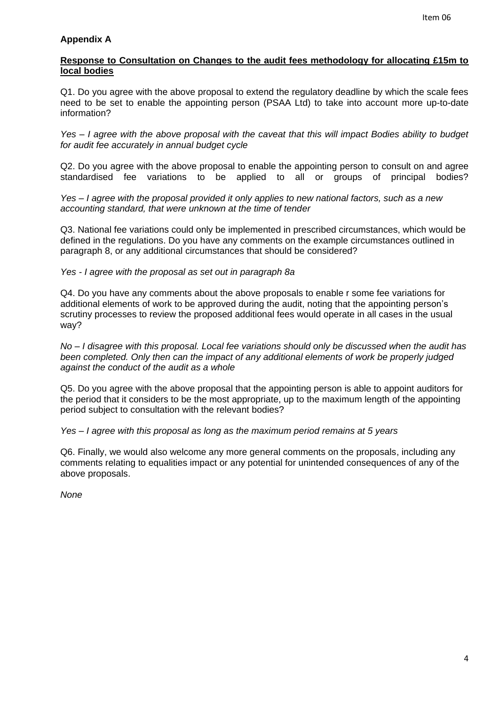## **Appendix A**

#### **Response to Consultation on Changes to the audit fees methodology for allocating £15m to local bodies**

Q1. Do you agree with the above proposal to extend the regulatory deadline by which the scale fees need to be set to enable the appointing person (PSAA Ltd) to take into account more up-to-date information?

*Yes – I agree with the above proposal with the caveat that this will impact Bodies ability to budget for audit fee accurately in annual budget cycle*

Q2. Do you agree with the above proposal to enable the appointing person to consult on and agree standardised fee variations to be applied to all or groups of principal bodies?

*Yes – I agree with the proposal provided it only applies to new national factors, such as a new accounting standard, that were unknown at the time of tender*

Q3. National fee variations could only be implemented in prescribed circumstances, which would be defined in the regulations. Do you have any comments on the example circumstances outlined in paragraph 8, or any additional circumstances that should be considered?

#### *Yes - I agree with the proposal as set out in paragraph 8a*

Q4. Do you have any comments about the above proposals to enable r some fee variations for additional elements of work to be approved during the audit, noting that the appointing person's scrutiny processes to review the proposed additional fees would operate in all cases in the usual way?

*No – I disagree with this proposal. Local fee variations should only be discussed when the audit has been completed. Only then can the impact of any additional elements of work be properly judged against the conduct of the audit as a whole*

Q5. Do you agree with the above proposal that the appointing person is able to appoint auditors for the period that it considers to be the most appropriate, up to the maximum length of the appointing period subject to consultation with the relevant bodies?

*Yes – I agree with this proposal as long as the maximum period remains at 5 years*

Q6. Finally, we would also welcome any more general comments on the proposals, including any comments relating to equalities impact or any potential for unintended consequences of any of the above proposals.

*None*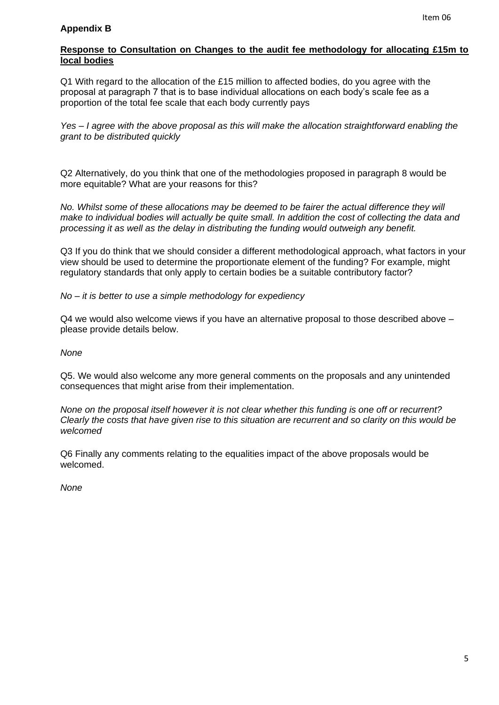Q1 With regard to the allocation of the £15 million to affected bodies, do you agree with the proposal at paragraph 7 that is to base individual allocations on each body's scale fee as a proportion of the total fee scale that each body currently pays

*Yes – I agree with the above proposal as this will make the allocation straightforward enabling the grant to be distributed quickly*

Q2 Alternatively, do you think that one of the methodologies proposed in paragraph 8 would be more equitable? What are your reasons for this?

*No. Whilst some of these allocations may be deemed to be fairer the actual difference they will make to individual bodies will actually be quite small. In addition the cost of collecting the data and processing it as well as the delay in distributing the funding would outweigh any benefit.* 

Q3 If you do think that we should consider a different methodological approach, what factors in your view should be used to determine the proportionate element of the funding? For example, might regulatory standards that only apply to certain bodies be a suitable contributory factor?

*No – it is better to use a simple methodology for expediency*

Q4 we would also welcome views if you have an alternative proposal to those described above – please provide details below.

*None*

Q5. We would also welcome any more general comments on the proposals and any unintended consequences that might arise from their implementation.

*None on the proposal itself however it is not clear whether this funding is one off or recurrent? Clearly the costs that have given rise to this situation are recurrent and so clarity on this would be welcomed*

Q6 Finally any comments relating to the equalities impact of the above proposals would be welcomed.

*None*